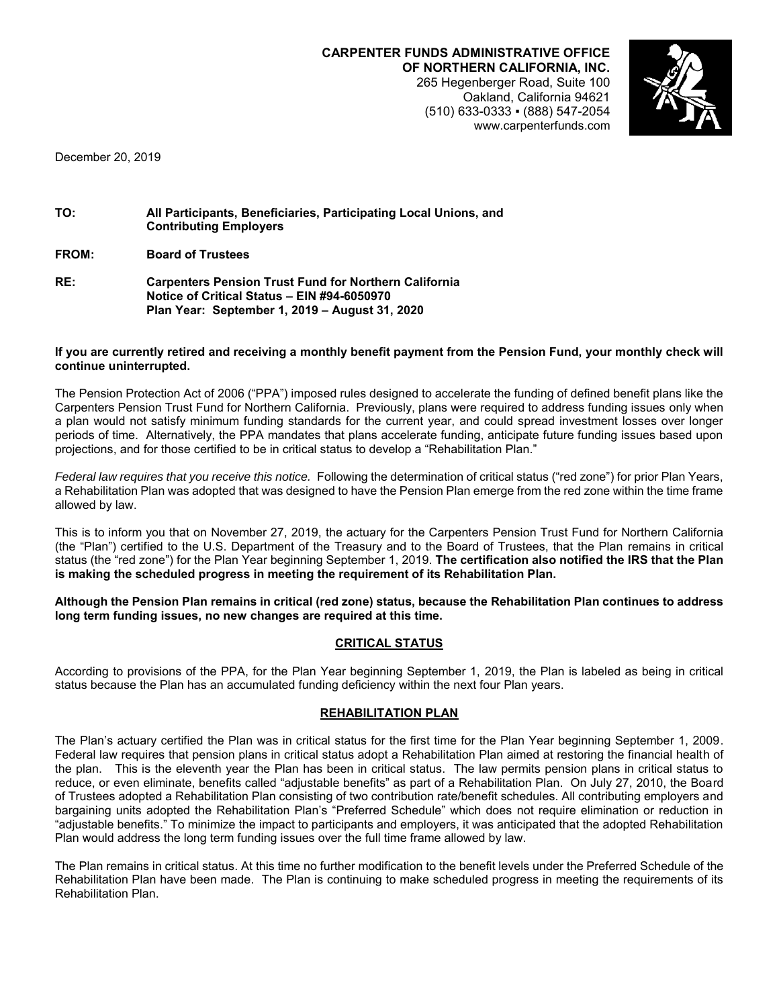**CARPENTER FUNDS ADMINISTRATIVE OFFICE OF NORTHERN CALIFORNIA, INC.** 265 Hegenberger Road, Suite 100 Oakland, California 94621 (510) 633-0333 ▪ (888) 547-2054 www.carpenterfunds.com



December 20, 2019

| TO: | All Participants, Beneficiaries, Participating Local Unions, and<br><b>Contributing Employers</b> |
|-----|---------------------------------------------------------------------------------------------------|
|     |                                                                                                   |

**FROM: Board of Trustees**

| RE: | <b>Carpenters Pension Trust Fund for Northern California</b> |
|-----|--------------------------------------------------------------|
|     | Notice of Critical Status - EIN #94-6050970                  |
|     | Plan Year: September 1, 2019 – August 31, 2020               |

#### **If you are currently retired and receiving a monthly benefit payment from the Pension Fund, your monthly check will continue uninterrupted.**

The Pension Protection Act of 2006 ("PPA") imposed rules designed to accelerate the funding of defined benefit plans like the Carpenters Pension Trust Fund for Northern California. Previously, plans were required to address funding issues only when a plan would not satisfy minimum funding standards for the current year, and could spread investment losses over longer periods of time. Alternatively, the PPA mandates that plans accelerate funding, anticipate future funding issues based upon projections, and for those certified to be in critical status to develop a "Rehabilitation Plan."

*Federal law requires that you receive this notice.* Following the determination of critical status ("red zone") for prior Plan Years, a Rehabilitation Plan was adopted that was designed to have the Pension Plan emerge from the red zone within the time frame allowed by law.

This is to inform you that on November 27, 2019, the actuary for the Carpenters Pension Trust Fund for Northern California (the "Plan") certified to the U.S. Department of the Treasury and to the Board of Trustees, that the Plan remains in critical status (the "red zone") for the Plan Year beginning September 1, 2019. **The certification also notified the IRS that the Plan is making the scheduled progress in meeting the requirement of its Rehabilitation Plan.**

#### **Although the Pension Plan remains in critical (red zone) status, because the Rehabilitation Plan continues to address long term funding issues, no new changes are required at this time.**

# **CRITICAL STATUS**

According to provisions of the PPA, for the Plan Year beginning September 1, 2019, the Plan is labeled as being in critical status because the Plan has an accumulated funding deficiency within the next four Plan years.

## **REHABILITATION PLAN**

The Plan's actuary certified the Plan was in critical status for the first time for the Plan Year beginning September 1, 2009. Federal law requires that pension plans in critical status adopt a Rehabilitation Plan aimed at restoring the financial health of the plan. This is the eleventh year the Plan has been in critical status. The law permits pension plans in critical status to reduce, or even eliminate, benefits called "adjustable benefits" as part of a Rehabilitation Plan. On July 27, 2010, the Board of Trustees adopted a Rehabilitation Plan consisting of two contribution rate/benefit schedules. All contributing employers and bargaining units adopted the Rehabilitation Plan's "Preferred Schedule" which does not require elimination or reduction in "adjustable benefits." To minimize the impact to participants and employers, it was anticipated that the adopted Rehabilitation Plan would address the long term funding issues over the full time frame allowed by law.

The Plan remains in critical status. At this time no further modification to the benefit levels under the Preferred Schedule of the Rehabilitation Plan have been made. The Plan is continuing to make scheduled progress in meeting the requirements of its Rehabilitation Plan.